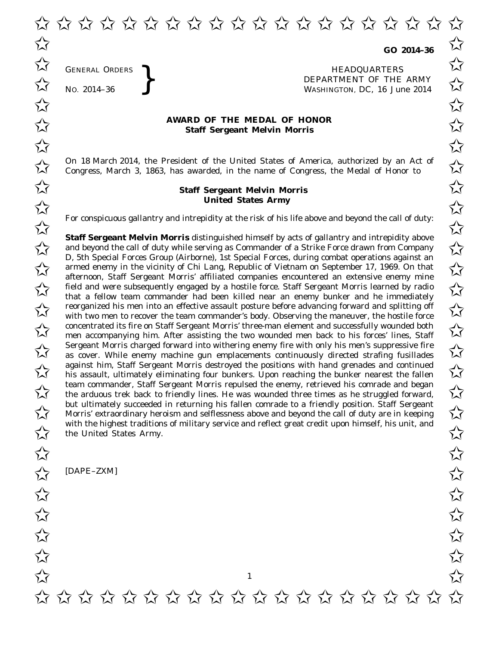GENERAL ORDERS

GENERAL ORDERS **}**<br>No. 2014–36 **}**<br>No. 2014–36 **}**<br>RepARTMENT OF THE WASHINGTON, DC, 16 Jul No. 2014-36<br>No. 2014-36<br>No. 2014-36<br>No. 2014-36 WASHINGTON, DC, *16 June 2014* ✩ ✩

## **AWARD OF THE MEDAL OF HONOR**<br>
Staff Sergeant Melvin Morris **Staff Sergeant Melvin Morris**

✩ ✩ ✩ ✩ ✩ ✩ ✩ ✩ ✩ ✩ ✩ ✩ ✩ ✩ ✩ ✩ ✩ ✩ ✩ ✩

On 18 March 2014, the President of the United States of America, authorized by an Act of  $\sim$  Congress. March 3, 1863, has awarded, in the name of Congress, the Medal of Honor to  $\sim$ Congress, March 3, 1863, has awarded, in the name of Congress, the Medal of Honor to

## **Staff Sergeant Melvin Morris** ✩ ✩ **United States Army** United States Army

For conspicuous gallantry and intrepidity at the risk of his life above and beyond the call of duty:<br>  $\overrightarrow{\lambda}$ 

**Staff Sergeant Melvin Morris** distinguished himself by acts of gallantry and intrepidity above **Staff Sergeant Melvin Morris** distinguished himself by acts of gallantry and intrepidity above<br>and beyond the call of duty while serving as Commander of a Strike Force drawn from Company D, 5th Special Forces Group (Airborne), 1st Special Forces, during combat operations against an D, stn Special Forces Group (Airborne), ist Special Forces, during compatibility against an armed enemy in the vicinity of Chi Lang, Republic of Vietnam on September 17, 1969. On that  $\chi$ afternoon, Staff Sergeant Morris' affiliated companies encountered an extensive enemy mine field and were subsequently engaged by a hostile force. Staff Sergeant Morris learned by radio<br>
that a follow toom commander had been killed near an enemy bunker and he immediately that a fellow team commander had been killed near an enemy bunker and he immediately reorganized his men into an effective assault posture before advancing forward and splitting off  $\sim$ with two men to recover the team commander's body. Observing the maneuver, the hostile force The concentrated its fire on Staff Sergeant Morris' three-man element and successfully wounded both men accompanying him After assisting the two wounded men back to his forces' lines. Staff men accompanying him. After assisting the two wounded men back to his forces' lines, Staff  $\overline{\mathcal{A}}$  Sergeant Morris charged forward into withering enemy fire with only his men's suppressive fire<br>
as cover. While enemy machine gun emplacements continuously directed strafing fusillades as cover. While enemy machine gun emplacements continuously directed strafing fusillades against him, Staff Sergeant Morris destroyed the positions with hand grenades and continued against him, Staff Sergeant Morris destroyed the positions with hand grenades and continued<br>
In this assault, ultimately eliminating four bunkers. Upon reaching the bunker nearest the fallen team commander, Staff Sergeant Morris repulsed the enemy, retrieved his comrade and began team commander, Staff Sergeant Morris repulsed the enemy, retrieved his comrade and began<br>the arduous trek back to friendly lines. He was wounded three times as he struggled forward, but ultimately succeeded in returning his fallen comrade to a friendly position. Staff Sergeant but ultimately succeeded in returning his fallen comrade to a friendly position. Staff Sergeant<br>Morris' extraordinary heroism and selflessness above and beyond the call of duty are in keeping with the highest traditions of military service and reflect great credit upon himself, his unit, and<br>the United States Army. the United States Army.

1

[DAPE–ZXM]  $\frac{1}{\sqrt{2}}$  [DAPE-ZXM]